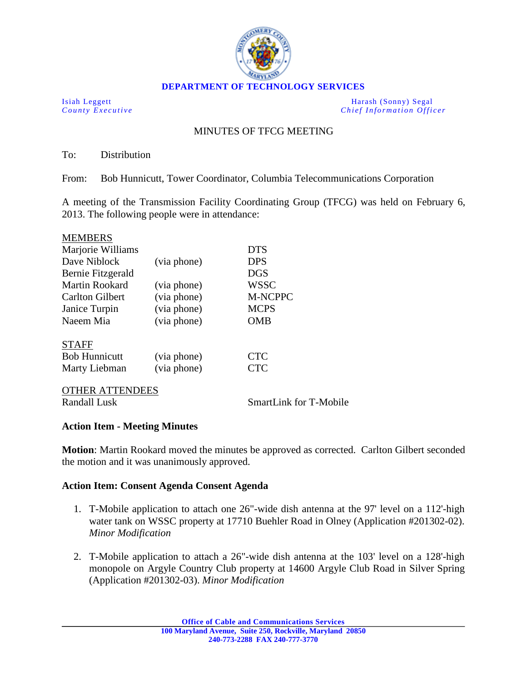

**DEPARTMENT OF TECHNOLOGY SERVICES**

Isiah Leggett Harash (Sonny) Segal<br>
County Executive Chief Information Office *Chief Information Officer* 

## MINUTES OF TFCG MEETING

To: Distribution

From: Bob Hunnicutt, Tower Coordinator, Columbia Telecommunications Corporation

A meeting of the Transmission Facility Coordinating Group (TFCG) was held on February 6, 2013. The following people were in attendance:

| <b>MEMBERS</b>         |             |             |
|------------------------|-------------|-------------|
| Marjorie Williams      |             | <b>DTS</b>  |
| Dave Niblock           | (via phone) | <b>DPS</b>  |
| Bernie Fitzgerald      |             | <b>DGS</b>  |
| <b>Martin Rookard</b>  | (via phone) | <b>WSSC</b> |
| <b>Carlton Gilbert</b> | (via phone) | M-NCPPC     |
| Janice Turpin          | (via phone) | <b>MCPS</b> |
| Naeem Mia              | (via phone) | OMB         |
| <b>STAFF</b>           |             |             |
| <b>Bob Hunnicutt</b>   | (via phone) | <b>CTC</b>  |
| Marty Liebman          | (via phone) | <b>CTC</b>  |
|                        |             |             |

OTHER ATTENDEES

Randall Lusk SmartLink for T-Mobile

## **Action Item - Meeting Minutes**

**Motion**: Martin Rookard moved the minutes be approved as corrected. Carlton Gilbert seconded the motion and it was unanimously approved.

## **Action Item: Consent Agenda Consent Agenda**

- 1. T-Mobile application to attach one 26"-wide dish antenna at the 97' level on a 112'-high water tank on WSSC property at 17710 Buehler Road in Olney (Application #201302-02). *Minor Modification*
- 2. T-Mobile application to attach a 26"-wide dish antenna at the 103' level on a 128'-high monopole on Argyle Country Club property at 14600 Argyle Club Road in Silver Spring (Application #201302-03). *Minor Modification*